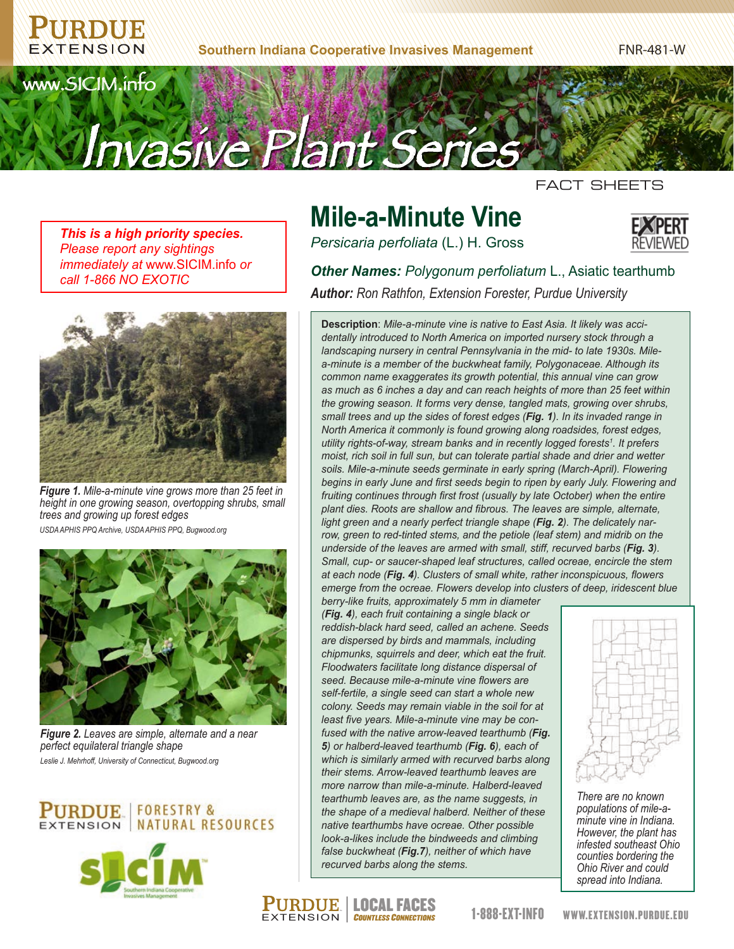**Southern Indiana Cooperative Invasives Management**

FNR-481-W



FACT SHEETS

*This is a high priority species. Please report any sightings immediately at* www.SICIM.info *or call 1-866 NO EXOTIC*



*Figure 1. Mile-a-minute vine grows more than 25 feet in height in one growing season, overtopping shrubs, small trees and growing up forest edges USDA APHIS PPQ Archive, USDA APHIS PPQ, Bugwood.org*



*Figure 2. Leaves are simple, alternate and a near perfect equilateral triangle shape Leslie J. Mehrhoff, University of Connecticut, Bugwood.org*





# **Mile-a-Minute Vine**

*Persicaria perfoliata* (L.) H. Gross



*Other Names: Polygonum perfoliatum* L., Asiatic tearthumb *Author: Ron Rathfon, Extension Forester, Purdue University*

**Description**: *Mile-a-minute vine is native to East Asia. It likely was accidentally introduced to North America on imported nursery stock through a landscaping nursery in central Pennsylvania in the mid- to late 1930s. Milea-minute is a member of the buckwheat family, Polygonaceae. Although its common name exaggerates its growth potential, this annual vine can grow as much as 6 inches a day and can reach heights of more than 25 feet within the growing season. It forms very dense, tangled mats, growing over shrubs, small trees and up the sides of forest edges (Fig. 1). In its invaded range in North America it commonly is found growing along roadsides, forest edges, utility rights-of-way, stream banks and in recently logged forests1 . It prefers moist, rich soil in full sun, but can tolerate partial shade and drier and wetter soils. Mile-a-minute seeds germinate in early spring (March-April). Flowering begins in early June and first seeds begin to ripen by early July. Flowering and fruiting continues through first frost (usually by late October) when the entire plant dies. Roots are shallow and fibrous. The leaves are simple, alternate, light green and a nearly perfect triangle shape (Fig. 2). The delicately narrow, green to red-tinted stems, and the petiole (leaf stem) and midrib on the underside of the leaves are armed with small, stiff, recurved barbs (Fig. 3). Small, cup- or saucer-shaped leaf structures, called ocreae, encircle the stem at each node (Fig. 4). Clusters of small white, rather inconspicuous, flowers emerge from the ocreae. Flowers develop into clusters of deep, iridescent blue* 

*berry-like fruits, approximately 5 mm in diameter (Fig. 4), each fruit containing a single black or reddish-black hard seed, called an achene. Seeds are dispersed by birds and mammals, including chipmunks, squirrels and deer, which eat the fruit. Floodwaters facilitate long distance dispersal of seed. Because mile-a-minute vine flowers are self-fertile, a single seed can start a whole new colony. Seeds may remain viable in the soil for at least five years. Mile-a-minute vine may be confused with the native arrow-leaved tearthumb (Fig. 5) or halberd-leaved tearthumb (Fig. 6), each of which is similarly armed with recurved barbs along their stems. Arrow-leaved tearthumb leaves are more narrow than mile-a-minute. Halberd-leaved tearthumb leaves are, as the name suggests, in the shape of a medieval halberd. Neither of these native tearthumbs have ocreae. Other possible look-a-likes include the bindweeds and climbing false buckwheat (Fig.7), neither of which have recurved barbs along the stems.*

EXTENSION COUNTLESS CONNECTIONS **PURDUE | LOCAL FACES** 



*There are no known populations of mile-aminute vine in Indiana. However, the plant has infested southeast Ohio counties bordering the Ohio River and could spread into Indiana.*

1-888-EXT-INFO www.extension.purdue.edu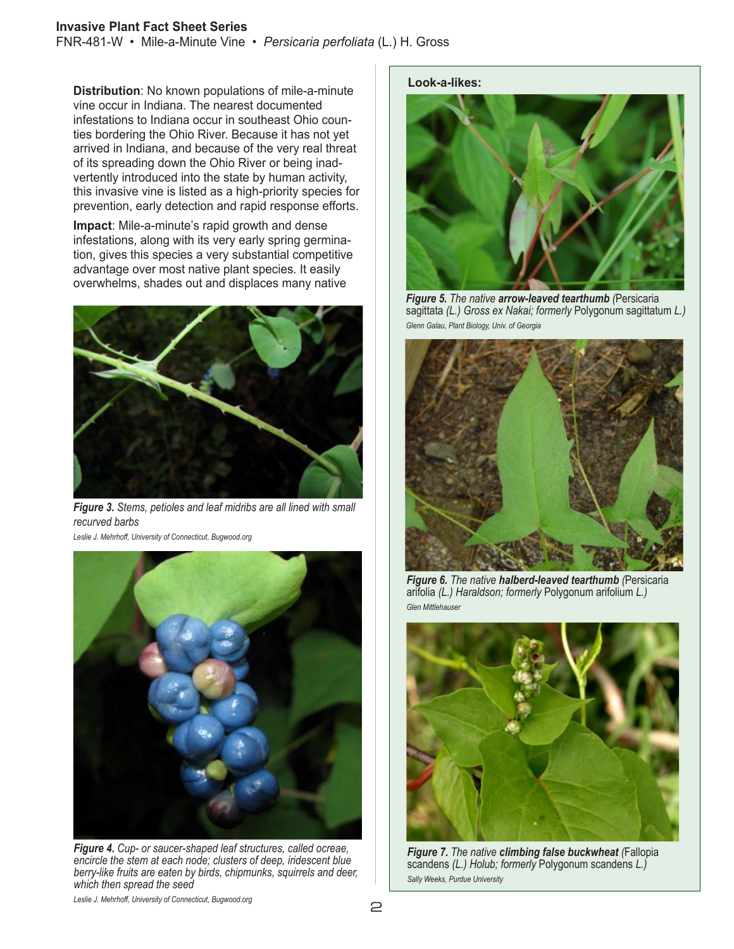#### **Invasive Plant Fact Sheet Series**

FNR-481-W • Mile-a-Minute Vine • *Persicaria perfoliata* (L.) H. Gross

**Distribution**: No known populations of mile-a-minute vine occur in Indiana. The nearest documented infestations to Indiana occur in southeast Ohio counties bordering the Ohio River. Because it has not yet arrived in Indiana, and because of the very real threat of its spreading down the Ohio River or being inadvertently introduced into the state by human activity, this invasive vine is listed as a high-priority species for prevention, early detection and rapid response efforts.

**Impact**: Mile-a-minute's rapid growth and dense infestations, along with its very early spring germination, gives this species a very substantial competitive advantage over most native plant species. It easily overwhelms, shades out and displaces many native



*Figure 3. Stems, petioles and leaf midribs are all lined with small recurved barbs*

*Leslie J. Mehrhoff, University of Connecticut, Bugwood.org*



*Figure 4. Cup- or saucer-shaped leaf structures, called ocreae, encircle the stem at each node; clusters of deep, iridescent blue berry-like fruits are eaten by birds, chipmunks, squirrels and deer, which then spread the seed*

#### **Look-a-likes:**



*Figure 5. The native arrow-leaved tearthumb (*Persicaria sagittata *(L.) Gross ex Nakai; formerly* Polygonum sagittatum *L.) Glenn Galau, Plant Biology, Univ. of Georgia*



*Figure 6. The native halberd-leaved tearthumb (*Persicaria arifolia *(L.) Haraldson; formerly* Polygonum arifolium *L.) Glen Mittlehauser*



*Figure 7. The native climbing false buckwheat (*Fallopia scandens *(L.) Holub; formerly* Polygonum scandens *L.) Sally Weeks, Purdue University*

*Leslie J. Mehrhoff, University of Connecticut, Bugwood.org*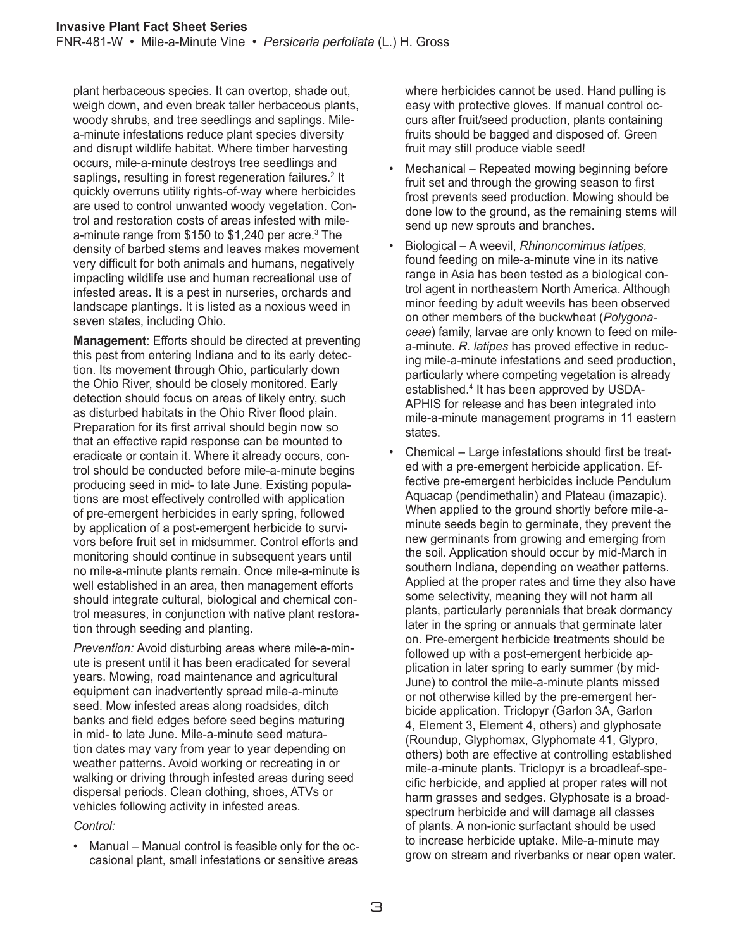plant herbaceous species. It can overtop, shade out, weigh down, and even break taller herbaceous plants, woody shrubs, and tree seedlings and saplings. Milea-minute infestations reduce plant species diversity and disrupt wildlife habitat. Where timber harvesting occurs, mile-a-minute destroys tree seedlings and saplings, resulting in forest regeneration failures.<sup>2</sup> It quickly overruns utility rights-of-way where herbicides are used to control unwanted woody vegetation. Control and restoration costs of areas infested with milea-minute range from \$150 to \$1,240 per acre.<sup>3</sup> The density of barbed stems and leaves makes movement very difficult for both animals and humans, negatively impacting wildlife use and human recreational use of infested areas. It is a pest in nurseries, orchards and landscape plantings. It is listed as a noxious weed in seven states, including Ohio.

**Management**: Efforts should be directed at preventing this pest from entering Indiana and to its early detection. Its movement through Ohio, particularly down the Ohio River, should be closely monitored. Early detection should focus on areas of likely entry, such as disturbed habitats in the Ohio River flood plain. Preparation for its first arrival should begin now so that an effective rapid response can be mounted to eradicate or contain it. Where it already occurs, control should be conducted before mile-a-minute begins producing seed in mid- to late June. Existing populations are most effectively controlled with application of pre-emergent herbicides in early spring, followed by application of a post-emergent herbicide to survivors before fruit set in midsummer. Control efforts and monitoring should continue in subsequent years until no mile-a-minute plants remain. Once mile-a-minute is well established in an area, then management efforts should integrate cultural, biological and chemical control measures, in conjunction with native plant restoration through seeding and planting.

*Prevention:* Avoid disturbing areas where mile-a-minute is present until it has been eradicated for several years. Mowing, road maintenance and agricultural equipment can inadvertently spread mile-a-minute seed. Mow infested areas along roadsides, ditch banks and field edges before seed begins maturing in mid- to late June. Mile-a-minute seed maturation dates may vary from year to year depending on weather patterns. Avoid working or recreating in or walking or driving through infested areas during seed dispersal periods. Clean clothing, shoes, ATVs or vehicles following activity in infested areas.

#### *Control:*

• Manual – Manual control is feasible only for the occasional plant, small infestations or sensitive areas

where herbicides cannot be used. Hand pulling is easy with protective gloves. If manual control occurs after fruit/seed production, plants containing fruits should be bagged and disposed of. Green fruit may still produce viable seed!

- Mechanical Repeated mowing beginning before fruit set and through the growing season to first frost prevents seed production. Mowing should be done low to the ground, as the remaining stems will send up new sprouts and branches.
- Biological A weevil, *Rhinoncomimus latipes*, found feeding on mile-a-minute vine in its native range in Asia has been tested as a biological control agent in northeastern North America. Although minor feeding by adult weevils has been observed on other members of the buckwheat (*Polygonaceae*) family, larvae are only known to feed on milea-minute. *R. latipes* has proved effective in reducing mile-a-minute infestations and seed production, particularly where competing vegetation is already established.4 It has been approved by USDA-APHIS for release and has been integrated into mile-a-minute management programs in 11 eastern states.
- Chemical Large infestations should first be treated with a pre-emergent herbicide application. Effective pre-emergent herbicides include Pendulum Aquacap (pendimethalin) and Plateau (imazapic). When applied to the ground shortly before mile-aminute seeds begin to germinate, they prevent the new germinants from growing and emerging from the soil. Application should occur by mid-March in southern Indiana, depending on weather patterns. Applied at the proper rates and time they also have some selectivity, meaning they will not harm all plants, particularly perennials that break dormancy later in the spring or annuals that germinate later on. Pre-emergent herbicide treatments should be followed up with a post-emergent herbicide application in later spring to early summer (by mid-June) to control the mile-a-minute plants missed or not otherwise killed by the pre-emergent herbicide application. Triclopyr (Garlon 3A, Garlon 4, Element 3, Element 4, others) and glyphosate (Roundup, Glyphomax, Glyphomate 41, Glypro, others) both are effective at controlling established mile-a-minute plants. Triclopyr is a broadleaf-specific herbicide, and applied at proper rates will not harm grasses and sedges. Glyphosate is a broadspectrum herbicide and will damage all classes of plants. A non-ionic surfactant should be used to increase herbicide uptake. Mile-a-minute may grow on stream and riverbanks or near open water.